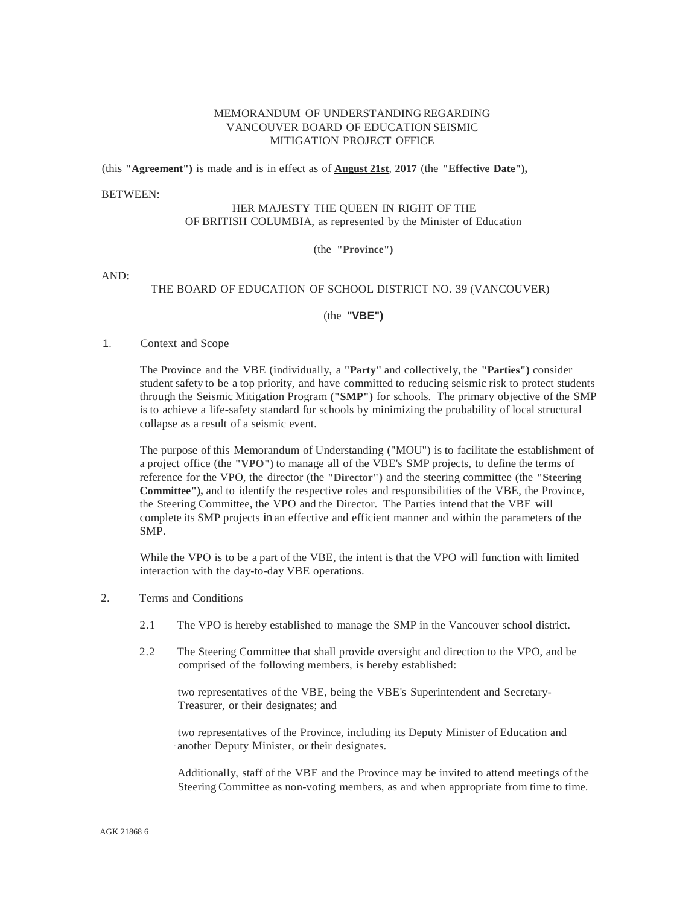## MEMORANDUM OF UNDERSTANDING REGARDING VANCOUVER BOARD OF EDUCATION SEISMIC MITIGATION PROJECT OFFICE

(this **"Agreement")** is made and is in effect as of **August 21st**, **2017** (the **"Effective Date"),**

#### BETWEEN:

### HER MAJESTY THE QUEEN IN RIGHT OF THE OF BRITISH COLUMBIA, as represented by the Minister of Education

(the **"Province")**

AND:

# THE BOARD OF EDUCATION OF SCHOOL DISTRICT NO. 39 (VANCOUVER)

### (the **"VBE")**

### 1. Context and Scope

The Province and the VBE (individually, a **"Party"** and collectively, the **"Parties")** consider student safety to be a top priority, and have committed to reducing seismic risk to protect students through the Seismic Mitigation Program **("SMP")** for schools. The primary objective of the SMP is to achieve a life-safety standard for schools by minimizing the probability of local structural collapse as a result of a seismic event.

The purpose of this Memorandum of Understanding ("MOU") is to facilitate the establishment of a project office (the **"VPO")** to manage all of the VBE's SMP projects, to define the terms of reference for the VPO, the director (the **"Director")** and the steering committee (the **"Steering Committee"),** and to identify the respective roles and responsibilities of the VBE, the Province, the Steering Committee, the VPO and the Director. The Parties intend that the VBE will complete its SMP projects in an effective and efficient manner and within the parameters of the SMP.

While the VPO is to be a part of the VBE, the intent is that the VPO will function with limited interaction with the day-to-day VBE operations.

#### 2. Terms and Conditions

- 2.1 The VPO is hereby established to manage the SMP in the Vancouver school district.
- 2.2 The Steering Committee that shall provide oversight and direction to the VPO, and be comprised of the following members, is hereby established:

two representatives of the VBE, being the VBE's Superintendent and Secretary-Treasurer, or their designates; and

two representatives of the Province, including its Deputy Minister of Education and another Deputy Minister, or their designates.

Additionally, staff of the VBE and the Province may be invited to attend meetings of the Steering Committee as non-voting members, as and when appropriate from time to time.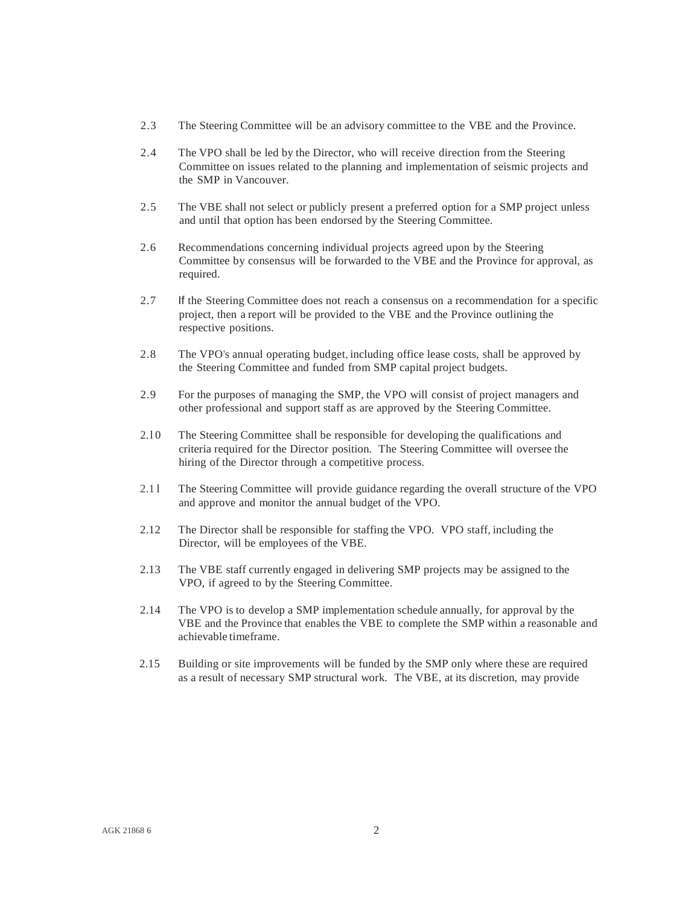- 2.3 The Steering Committee will be an advisory committee to the VBE and the Province.
- 2.4 The VPO shall be led by the Director, who will receive direction from the Steering Committee on issues related to the planning and implementation of seismic projects and the SMP in Vancouver.
- 2.5 The VBE shall not select or publicly present a preferred option for a SMP project unless and until that option has been endorsed by the Steering Committee.
- 2.6 Recommendations concerning individual projects agreed upon by the Steering Committee by consensus will be forwarded to the VBE and the Province for approval, as required.
- 2.7 If the Steering Committee does not reach a consensus on a recommendation for a specific project, then a report will be provided to the VBE and the Province outlining the respective positions.
- 2.8 The VPO's annual operating budget, including office lease costs, shall be approved by the Steering Committee and funded from SMP capital project budgets.
- 2.9 For the purposes of managing the SMP, the VPO will consist of project managers and other professional and support staff as are approved by the Steering Committee.
- 2.l 0 The Steering Committee shall be responsible for developing the qualifications and criteria required for the Director position. The Steering Committee will oversee the hiring of the Director through a competitive process.
- 2.1 l The Steering Committee will provide guidance regarding the overall structure of the VPO and approve and monitor the annual budget of the VPO.
- 2.12 The Director shall be responsible for staffing the VPO. VPO staff, including the Director, will be employees of the VBE.
- 2.13 The VBE staff currently engaged in delivering SMP projects may be assigned to the VPO, if agreed to by the Steering Committee.
- 2.14 The VPO is to develop a SMP implementation schedule annually, for approval by the VBE and the Province that enables the VBE to complete the SMP within a reasonable and achievable timeframe.
- 2.15 Building or site improvements will be funded by the SMP only where these are required as a result of necessary SMP structural work. The VBE, at its discretion, may provide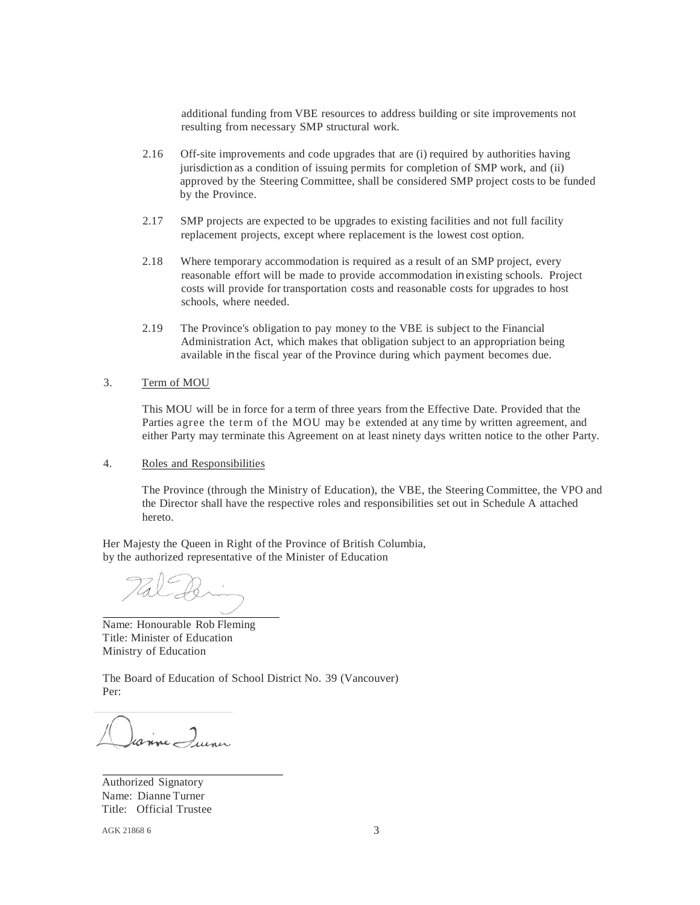additional funding from VBE resources to address building or site improvements not resulting from necessary SMP structural work.

- 2.16 Off-site improvements and code upgrades that are (i) required by authorities having jurisdiction as a condition of issuing permits for completion of SMP work, and (ii) approved by the Steering Committee, shall be considered SMP project costs to be funded by the Province.
- 2.17 SMP projects are expected to be upgrades to existing facilities and not full facility replacement projects, except where replacement is the lowest cost option.
- 2.18 Where temporary accommodation is required as a result of an SMP project, every reasonable effort will be made to provide accommodation in existing schools. Project costs will provide for transportation costs and reasonable costs for upgrades to host schools, where needed.
- 2.19 The Province's obligation to pay money to the VBE is subject to the Financial Administration Act, which makes that obligation subject to an appropriation being available in the fiscal year of the Province during which payment becomes due.

## 3. Term of MOU

This MOU will be in force for a term of three years from the Effective Date. Provided that the Parties agree the term of the MOU may be extended at any time by written agreement, and either Party may terminate this Agreement on at least ninety days written notice to the other Party.

4. Roles and Responsibilities

The Province (through the Ministry of Education), the VBE, the Steering Committee, the VPO and the Director shall have the respective roles and responsibilities set out in Schedule A attached hereto.

Her Majesty the Queen in Right of the Province of British Columbia, by the authorized representative of the Minister of Education

Name: Honourable Rob Fleming Title: Minister of Education Ministry of Education

The Board of Education of School District No. 39 (Vancouver) Per:

anne Quinci

Authorized Signatory Name: Dianne Turner Title: Official Trustee

AGK 21868 6 3